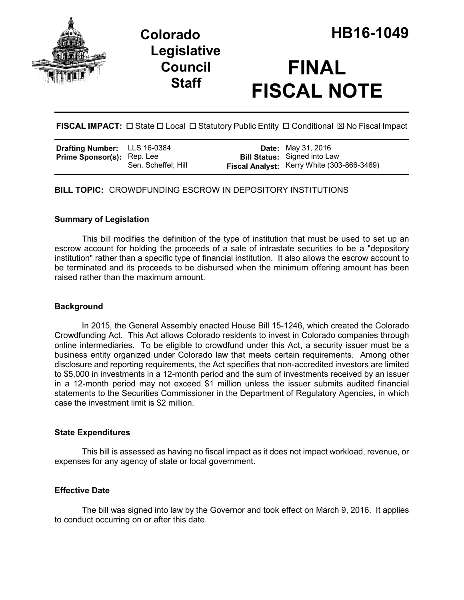



# **FINAL FISCAL NOTE**

**FISCAL IMPACT:**  $\Box$  State  $\Box$  Local  $\Box$  Statutory Public Entity  $\Box$  Conditional  $\boxtimes$  No Fiscal Impact

| <b>Drafting Number:</b> LLS 16-0384 |                     | <b>Date:</b> May 31, 2016                                                         |
|-------------------------------------|---------------------|-----------------------------------------------------------------------------------|
| <b>Prime Sponsor(s): Rep. Lee</b>   | Sen. Scheffel; Hill | <b>Bill Status:</b> Signed into Law<br>Fiscal Analyst: Kerry White (303-866-3469) |

**BILL TOPIC:** CROWDFUNDING ESCROW IN DEPOSITORY INSTITUTIONS

### **Summary of Legislation**

This bill modifies the definition of the type of institution that must be used to set up an escrow account for holding the proceeds of a sale of intrastate securities to be a "depository institution" rather than a specific type of financial institution. It also allows the escrow account to be terminated and its proceeds to be disbursed when the minimum offering amount has been raised rather than the maximum amount.

## **Background**

In 2015, the General Assembly enacted House Bill 15-1246, which created the Colorado Crowdfunding Act. This Act allows Colorado residents to invest in Colorado companies through online intermediaries. To be eligible to crowdfund under this Act, a security issuer must be a business entity organized under Colorado law that meets certain requirements. Among other disclosure and reporting requirements, the Act specifies that non-accredited investors are limited to \$5,000 in investments in a 12-month period and the sum of investments received by an issuer in a 12-month period may not exceed \$1 million unless the issuer submits audited financial statements to the Securities Commissioner in the Department of Regulatory Agencies, in which case the investment limit is \$2 million.

#### **State Expenditures**

This bill is assessed as having no fiscal impact as it does not impact workload, revenue, or expenses for any agency of state or local government.

#### **Effective Date**

The bill was signed into law by the Governor and took effect on March 9, 2016. It applies to conduct occurring on or after this date.